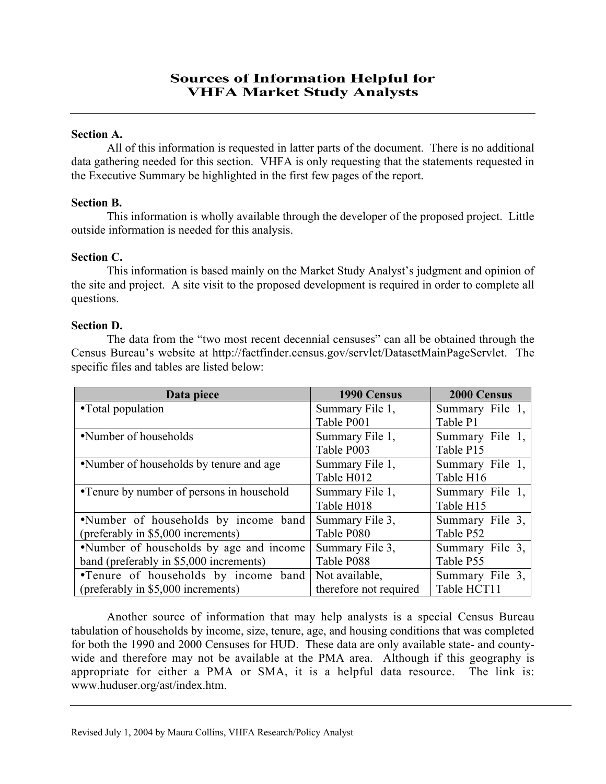## Section A.

All of this information is requested in latter parts of the document. There is no additional data gathering needed for this section. VHFA is only requesting that the statements requested in the Executive Summary be highlighted in the first few pages of the report.

# Section B.

This information is wholly available through the developer of the proposed project. Little outside information is needed for this analysis.

# Section C.

This information is based mainly on the Market Study Analyst's judgment and opinion of the site and project. A site visit to the proposed development is required in order to complete all questions.

### Section D.

The data from the "two most recent decennial censuses" can all be obtained through the Census Bureau's website at http://factfinder.census.gov/servlet/DatasetMainPageServlet. The specific files and tables are listed below:

| Data piece                                | 1990 Census            | 2000 Census     |
|-------------------------------------------|------------------------|-----------------|
| •Total population                         | Summary File 1,        | Summary File 1, |
|                                           | Table P001             | Table P1        |
| •Number of households                     | Summary File 1,        | Summary File 1, |
|                                           | Table P003             | Table P15       |
| •Number of households by tenure and age   | Summary File 1,        | Summary File 1, |
|                                           | Table H012             | Table H16       |
| •Tenure by number of persons in household | Summary File 1,        | Summary File 1, |
|                                           | Table H018             | Table H15       |
| •Number of households by income band      | Summary File 3,        | Summary File 3, |
| (preferably in \$5,000 increments)        | Table P080             | Table P52       |
| •Number of households by age and income   | Summary File 3,        | Summary File 3, |
| band (preferably in \$5,000 increments)   | Table P088             | Table P55       |
| •Tenure of households by income band      | Not available,         | Summary File 3, |
| (preferably in \$5,000 increments)        | therefore not required | Table HCT11     |

Another source of information that may help analysts is a special Census Bureau tabulation of households by income, size, tenure, age, and housing conditions that was completed for both the 1990 and 2000 Censuses for HUD. These data are only available state- and countywide and therefore may not be available at the PMA area. Although if this geography is appropriate for either a PMA or SMA, it is a helpful data resource. The link is: www.huduser.org/ast/index.htm.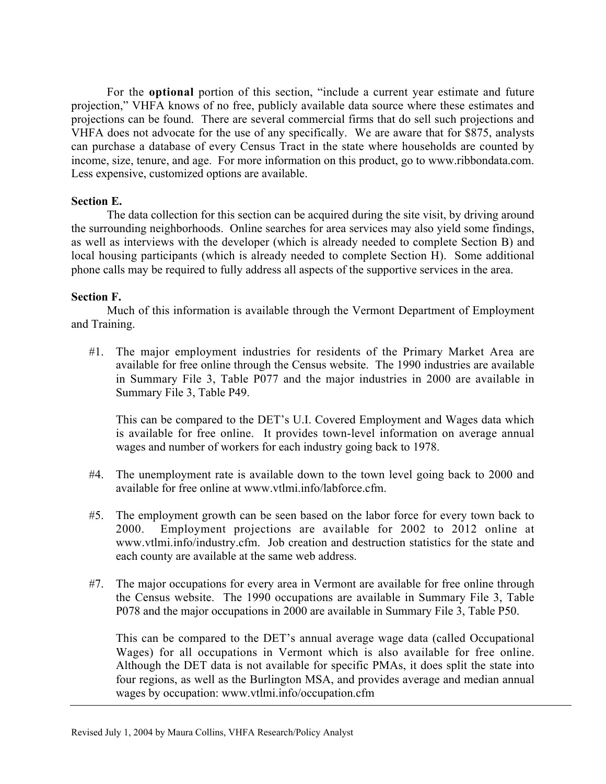For the optional portion of this section, "include a current year estimate and future projection," VHFA knows of no free, publicly available data source where these estimates and projections can be found. There are several commercial firms that do sell such projections and VHFA does not advocate for the use of any specifically. We are aware that for \$875, analysts can purchase a database of every Census Tract in the state where households are counted by income, size, tenure, and age. For more information on this product, go to www.ribbondata.com. Less expensive, customized options are available.

### Section E.

The data collection for this section can be acquired during the site visit, by driving around the surrounding neighborhoods. Online searches for area services may also yield some findings, as well as interviews with the developer (which is already needed to complete Section B) and local housing participants (which is already needed to complete Section H). Some additional phone calls may be required to fully address all aspects of the supportive services in the area.

### Section F.

Much of this information is available through the Vermont Department of Employment and Training.

#1. The major employment industries for residents of the Primary Market Area are available for free online through the Census website. The 1990 industries are available in Summary File 3, Table P077 and the major industries in 2000 are available in Summary File 3, Table P49.

This can be compared to the DET's U.I. Covered Employment and Wages data which is available for free online. It provides town-level information on average annual wages and number of workers for each industry going back to 1978.

- #4. The unemployment rate is available down to the town level going back to 2000 and available for free online at www.vtlmi.info/labforce.cfm.
- #5. The employment growth can be seen based on the labor force for every town back to 2000. Employment projections are available for 2002 to 2012 online at www.vtlmi.info/industry.cfm. Job creation and destruction statistics for the state and each county are available at the same web address.
- #7. The major occupations for every area in Vermont are available for free online through the Census website. The 1990 occupations are available in Summary File 3, Table P078 and the major occupations in 2000 are available in Summary File 3, Table P50.

This can be compared to the DET's annual average wage data (called Occupational Wages) for all occupations in Vermont which is also available for free online. Although the DET data is not available for specific PMAs, it does split the state into four regions, as well as the Burlington MSA, and provides average and median annual wages by occupation: www.vtlmi.info/occupation.cfm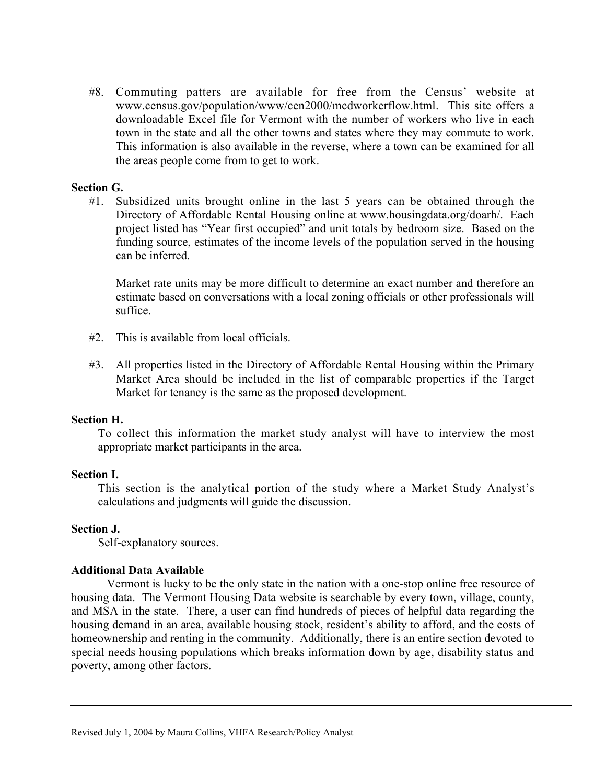#8. Commuting patters are available for free from the Census' website at www.census.gov/population/www/cen2000/mcdworkerflow.html. This site offers a downloadable Excel file for Vermont with the number of workers who live in each town in the state and all the other towns and states where they may commute to work. This information is also available in the reverse, where a town can be examined for all the areas people come from to get to work.

### Section G.

#1. Subsidized units brought online in the last 5 years can be obtained through the Directory of Affordable Rental Housing online at www.housingdata.org/doarh/. Each project listed has "Year first occupied" and unit totals by bedroom size. Based on the funding source, estimates of the income levels of the population served in the housing can be inferred.

Market rate units may be more difficult to determine an exact number and therefore an estimate based on conversations with a local zoning officials or other professionals will suffice.

- #2. This is available from local officials.
- #3. All properties listed in the Directory of Affordable Rental Housing within the Primary Market Area should be included in the list of comparable properties if the Target Market for tenancy is the same as the proposed development.

#### Section H.

To collect this information the market study analyst will have to interview the most appropriate market participants in the area.

#### Section I.

This section is the analytical portion of the study where a Market Study Analyst's calculations and judgments will guide the discussion.

# Section J.

Self-explanatory sources.

#### Additional Data Available

Vermont is lucky to be the only state in the nation with a one-stop online free resource of housing data. The Vermont Housing Data website is searchable by every town, village, county, and MSA in the state. There, a user can find hundreds of pieces of helpful data regarding the housing demand in an area, available housing stock, resident's ability to afford, and the costs of homeownership and renting in the community. Additionally, there is an entire section devoted to special needs housing populations which breaks information down by age, disability status and poverty, among other factors.